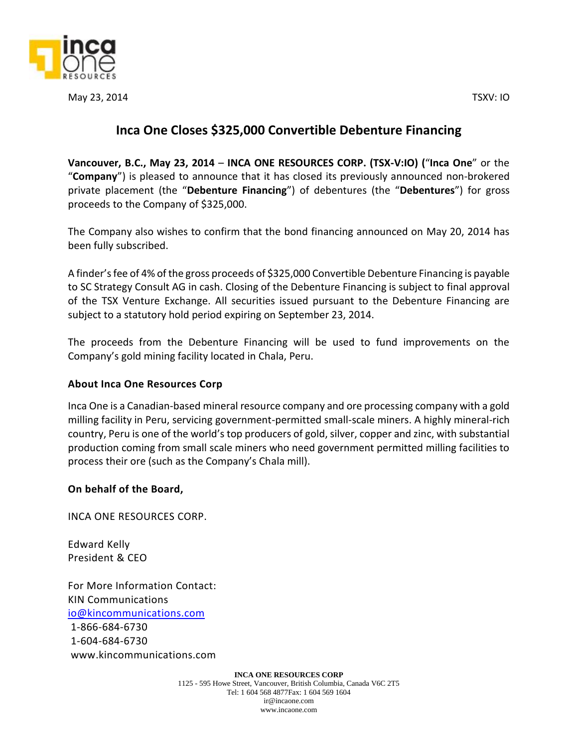

May 23, 2014 TSXV: IO

## **Inca One Closes \$325,000 Convertible Debenture Financing**

**Vancouver, B.C., May 23, 2014** – **INCA ONE RESOURCES CORP. (TSX‐V:IO) (**"**Inca One**" or the "**Company**") is pleased to announce that it has closed its previously announced non-brokered private placement (the "**Debenture Financing**") of debentures (the "**Debentures**") for gross proceeds to the Company of \$325,000.

The Company also wishes to confirm that the bond financing announced on May 20, 2014 has been fully subscribed.

A finder's fee of 4% of the gross proceeds of \$325,000 Convertible Debenture Financing is payable to SC Strategy Consult AG in cash. Closing of the Debenture Financing is subject to final approval of the TSX Venture Exchange. All securities issued pursuant to the Debenture Financing are subject to a statutory hold period expiring on September 23, 2014.

The proceeds from the Debenture Financing will be used to fund improvements on the Company's gold mining facility located in Chala, Peru.

## **About Inca One Resources Corp**

Inca One is a Canadian-based mineral resource company and ore processing company with a gold milling facility in Peru, servicing government-permitted small-scale miners. A highly mineral-rich country, Peru is one of the world's top producers of gold, silver, copper and zinc, with substantial production coming from small scale miners who need government permitted milling facilities to process their ore (such as the Company's Chala mill).

## **On behalf of the Board,**

INCA ONE RESOURCES CORP.

Edward Kelly President & CEO

For More Information Contact: KIN Communications [io@kincommunications.com](mailto:io@kincommunications.com) 1-866-684-6730 1-604-684-6730

www.kincommunications.com

**INCA ONE RESOURCES CORP** 1125 - 595 Howe Street, Vancouver, British Columbia, Canada V6C 2T5 Tel: 1 604 568 4877Fax: 1 604 569 1604 ir@incaone.com www.incaone.com